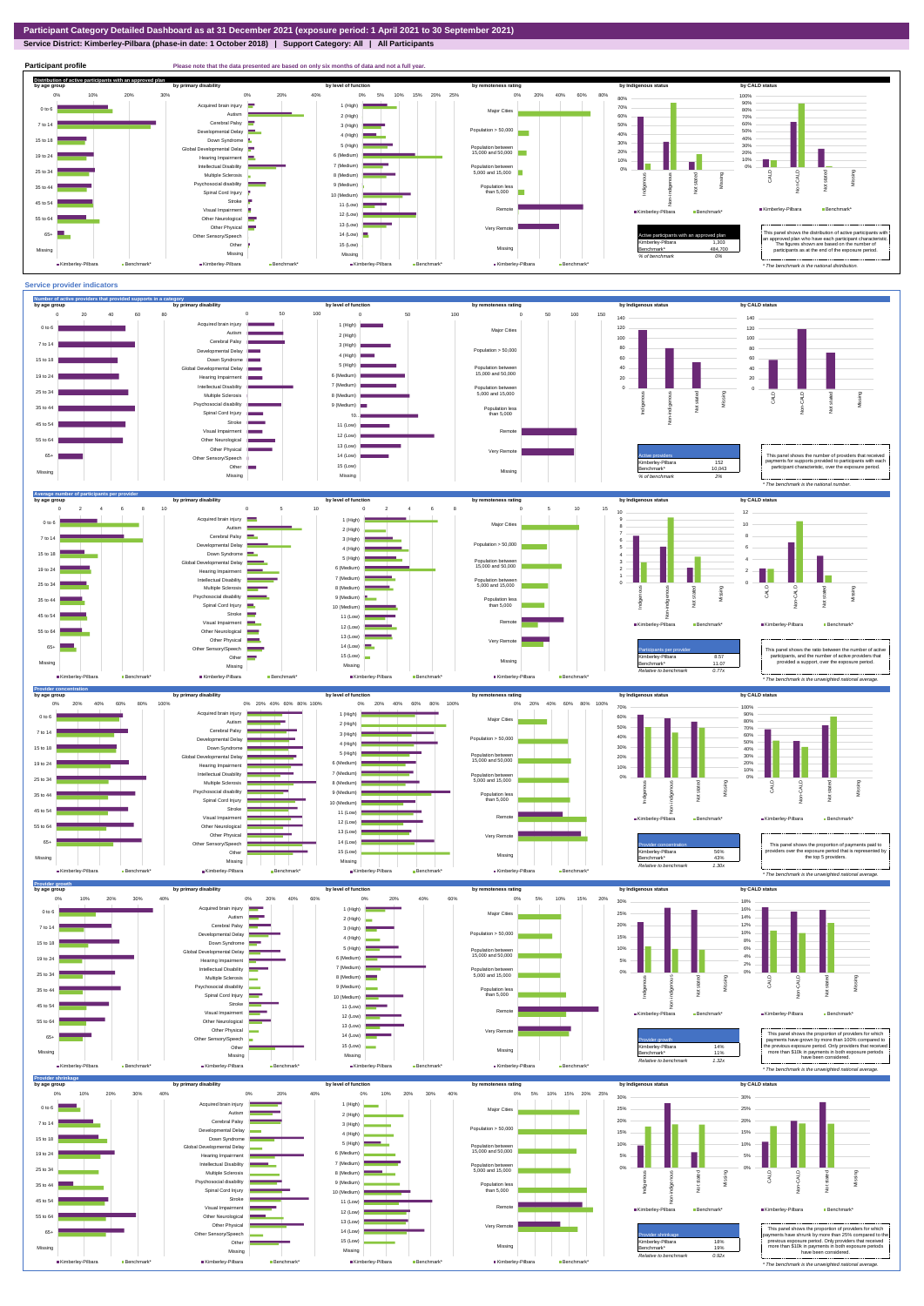**Service District: Kimberley-Pilbara (phase-in date: 1 October 2018) | Support Category: All | All Participants**



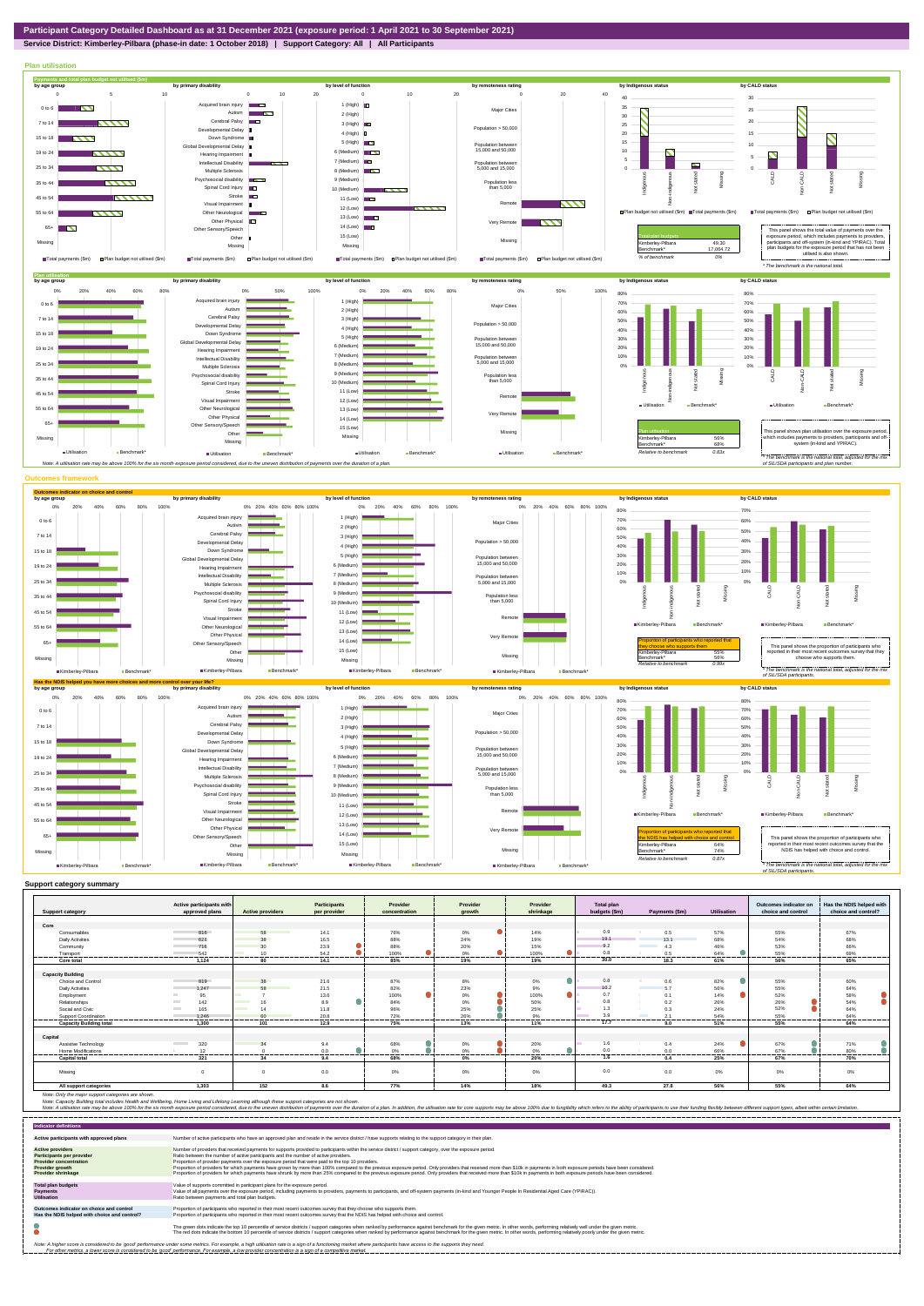**Service District: Kimberley-Pilbara (phase-in date: 1 October 2018) | Support Category: All | All Participants**



|                                | Active participants with |                                | <b>Participants</b> | Provider              | Provider | Provider         | Total plan         |                     |                    | Outcomes indicator on | Has the NDIS helped with |
|--------------------------------|--------------------------|--------------------------------|---------------------|-----------------------|----------|------------------|--------------------|---------------------|--------------------|-----------------------|--------------------------|
| <b>Support category</b>        | approved plans           | <b>Active providers</b>        | per provider        | concentration         | arowth   | shrinkage        | budgets (\$m)      | Payments (\$m)      | <b>Utilisation</b> | choice and control    | choice and control?      |
|                                |                          |                                |                     |                       |          |                  |                    |                     |                    |                       |                          |
| Core                           |                          |                                |                     |                       |          |                  |                    |                     |                    |                       |                          |
| Consumables                    | 816                      | 58                             | 14.1                | 76%                   | 0%       | 14%              | 0.9                | 0.5                 | 57%                | 55%                   | 67%                      |
| <b>Daily Activities</b>        | 628                      | 38                             | 16.5                | 88%                   | 24%      | 19%              | 19.1               | 13.1                | 68%                | 54%                   | 68%                      |
| Community                      | 716                      | 30                             | 23.9                | 88%                   | 20%      | 15%              | 9.2                | 4.3                 | 46%                | 53%                   | 66%                      |
| Transport                      | 542                      | 10                             | 54.2                | 100%                  | 0%       | 100%             | 0.8<br>.           | 0.5                 | 64%                | 55%<br>.              | 69%<br>.                 |
| Core total                     | 1.124                    | 80                             | 14.1                | 85%                   | 19%      | 19%              | 30.0               | 18.3                | 61%                | 56%                   | 65%                      |
|                                |                          |                                |                     |                       |          |                  |                    |                     |                    |                       |                          |
| <b>Capacity Building</b>       |                          |                                |                     |                       |          |                  |                    |                     |                    |                       |                          |
| <b>Choice and Control</b>      | 819                      | 38                             | 21.6                | 87%                   | 8%       | 0%               | 0.8                | 0.6                 | 82%                | 55%                   | 60%                      |
| <b>Daily Activities</b>        | 1.247                    | 58                             | 21.5                | 82%                   | 23%      | 9%               | 10.2               | 5.7                 | 56%                | 55%                   | 64%                      |
| Employment                     | 95                       |                                | 13.6                | 100%                  | 0%       | 100%             | 0.7                | 0.1                 | 14%                | 52%                   | 58%                      |
| Relationships                  | 142                      | 16                             | 8.9                 | 84%                   | 0%       | 50%              | 0.8                | 0.2                 | 26%                | 26%                   | 54%                      |
| Social and Civic               | 165<br><b>Contract</b>   | <b>Contract Contract</b><br>14 | 11.8                | 96%                   | 25%      | 25%              | 1.3                | 0.3                 | 24%                | 52%                   | 64%                      |
| <b>Support Coordination</b>    | 1.246<br>.               | 60<br>--------                 | 20.8                | 72%<br>-------------- | 26%      | 9%               | 3.9                | 24                  | 54%                | 55%                   | 64%<br>                  |
| <b>Capacity Building total</b> | 1.300                    | 101                            | --------<br>12.9    | 75%                   | 13%      | ---------<br>11% | ----------<br>17.7 | ------------<br>9.0 | <br>51%            | <br>55%               | 64%                      |
| Capital                        |                          |                                |                     |                       |          |                  |                    |                     |                    |                       |                          |
|                                |                          |                                |                     |                       |          |                  |                    |                     |                    |                       |                          |
| Assistive Technology           | 320                      | 34                             | 9.4                 | 68%                   | 0%       | 20%              | 1.6                | 0.4                 | 24%                | 67%                   | 71%                      |
| Home Modifications             | 12<br>-----              |                                | 0.0                 | 0%<br>------          | 0%<br>   | 0%               | 0.0<br>.           | 0.0                 | 66%<br>            | 67%<br>-------        | 80%<br>-----             |
| <b>Capital total</b>           | 321                      | 34                             | 9.4                 | 68%                   | $0\%$    | 20%              | 1.6                | 0.4                 | 25%                | 67%                   | 70%                      |
| Missina                        |                          |                                | 0.0                 | 0%                    | 0%       | 0%               | 0.0                | 0.0                 | 0%                 | 0%                    | 0%                       |
| All support categories         | 1.303                    | 152                            | 8.6                 | 77%                   | 14%      | 18%              | 49.3               | 27.8                | 56%                | 55%                   | 64%                      |

Note: Only the major support categories are shown.<br>Note: Capacity Building total individual Wellbeing, Home Living and Lifelong Learning although these support categories are not shown.<br>Note: A utilisation rate may be abov

| <b>Indicator definitions</b>                                                                                                                        |                                                                                                                                                                                                                                                                                                                                                                                                                                                                                                                                                                                                                                                                                                                                                                                                                 |
|-----------------------------------------------------------------------------------------------------------------------------------------------------|-----------------------------------------------------------------------------------------------------------------------------------------------------------------------------------------------------------------------------------------------------------------------------------------------------------------------------------------------------------------------------------------------------------------------------------------------------------------------------------------------------------------------------------------------------------------------------------------------------------------------------------------------------------------------------------------------------------------------------------------------------------------------------------------------------------------|
| Active participants with approved plans                                                                                                             | Number of active participants who have an approved plan and reside in the service district / have supports relating to the support category in their plan.                                                                                                                                                                                                                                                                                                                                                                                                                                                                                                                                                                                                                                                      |
| <b>Active providers</b><br><b>Participants per provider</b><br><b>Provider concentration</b><br><b>Provider growth</b><br><b>Provider shrinkage</b> | Number of providers that received payments for supports provided to participants within the service district / support category, over the exposure period,<br>Ratio between the number of active participants and the number of active providers.<br>Proportion of provider payments over the exposure period that were paid to the top 10 providers.<br>Proportion of providers for which payments have grown by more than 100% compared to the previous exposure period. Only providers that received more than \$10k in payments in both exposure periods have been considered.<br>Proportion of providers for which payments have shrunk by more than 25% compared to the previous exposure period. Only providers that received more than \$10k in payments in both exposure periods have been considered. |
| <b>Total plan budgets</b><br><b>Payments</b><br><b>Utilisation</b>                                                                                  | Value of supports committed in participant plans for the exposure period.<br>Value of all payments over the exposure period, including payments to providers, payments to participants, and off-system payments (in-kind and Younger People In Residential Aged Care (YPIRAC)).<br>Ratio between payments and total plan budgets.                                                                                                                                                                                                                                                                                                                                                                                                                                                                               |
| Outcomes indicator on choice and control<br>Has the NDIS helped with choice and control?                                                            | Proportion of participants who reported in their most recent outcomes survey that they choose who supports them.<br>Proportion of participants who reported in their most recent outcomes survey that the NDIS has helped with choice and control.                                                                                                                                                                                                                                                                                                                                                                                                                                                                                                                                                              |
|                                                                                                                                                     | The green dots indicate the top 10 percentile of service districts / support categories when ranked by performance against benchmark for the given metric. In other words, performing relatively well under the given metric.<br>The red dots indicate the bottom 10 percentile of service districts / support categories when ranked by performance against benchmark for the given metric. In other words, performing relatively poorly under the given metri                                                                                                                                                                                                                                                                                                                                                 |
|                                                                                                                                                     | Note: A higher score is considered to be 'good' performance under some metrics. For example, a high utilisation rate is a sign of a functioning market where participants have access to the supports they need.<br>For other metrics, a lower score is considered to be 'good' performance. For example, a low provider concentration is a sign of a competitive market.                                                                                                                                                                                                                                                                                                                                                                                                                                       |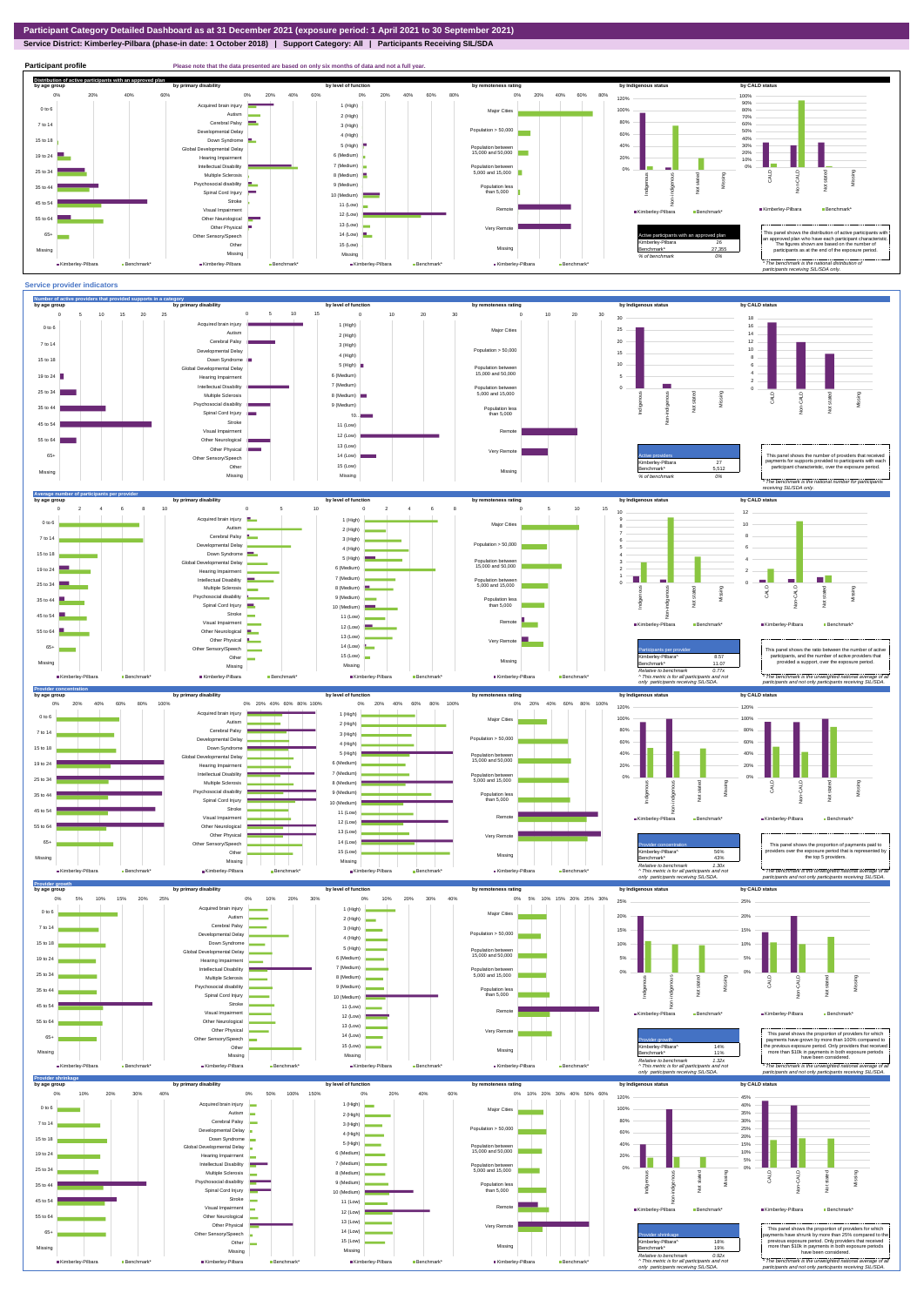## **Service District: Kimberley-Pilbara (phase-in date: 1 October 2018) | Support Category: All | Participants Receiving SIL/SDA**



**Participant profile Please note that the data presented are based on only six months of data and not a full yer. Distribution of active participants with an approved plan** by age group by primary disability by remoteness rating by hdigenous status by CALD status 0% 20% 40% 60% 80% 0% 20% 40% 60% 0% 20% 40% 60% 0% 20% 40% 60% 80% 120% 100% ed brain injury 90% 1 (High) 0 to 6 Major Cities 100% 80% Autism 2 (High) 70% 80% Cerebral Palsy 60% 7 to 14 3 (High) nental Delay Population > 50,000 **Contract** 60% 40% 50% 4 (High) Down Syndrome 15 to 18 5 (High) 30% 40% evelopmental Delay Population between 15,000 and 50,000 6 (Medium) 10% 20% 19 to 24 20% Hearing Impairment 7 (Medium) Intellectual Disability 0% Population between 5,000 and 15,000 0% 25 to 34 Multiple Sclerosis 8 (Medium) CALD Non-CALD Missing ndigenous Not stated Not stated Non-indigenous .<br>cial disability Missing 9 (Medium) 35 to 44 Population less than 5,000 Spinal Cord Injury Indigenous 10 (Medium) Stroke 45 to 54 - š 11 (Low) Kimberley-Pilbara Benchmark Visual Impairment Remote Kimberley-Pilbara Benchmark 12 (Low)  $\blacksquare$ 55 to 64 Other Neurological 13 (Low) Other Physical Very Remote  $14$  (Low) Active participants with an approved plan This panel shows the distribution of active participants with in an approved plan who have each participant characteristic. 65+ r Sensory/Speech Other 15 (Low) Kimberley-Pilbara 26 The figures shown are based on the number of participants as at the end of the exposure period. Missing Benchmark\* 27,355 Missing Missing Missing *% of benchmark 0%* Kimberley-Pilbara Benchmark\* Kimberley-Pilbara Benchmark  $\blacksquare$  Kimberley-Pilbara  $\blacksquare$  Ben Kimberley-Pilbara Benchmark *\* The benchmark is the national distribution of participants receiving SIL/SDA only.*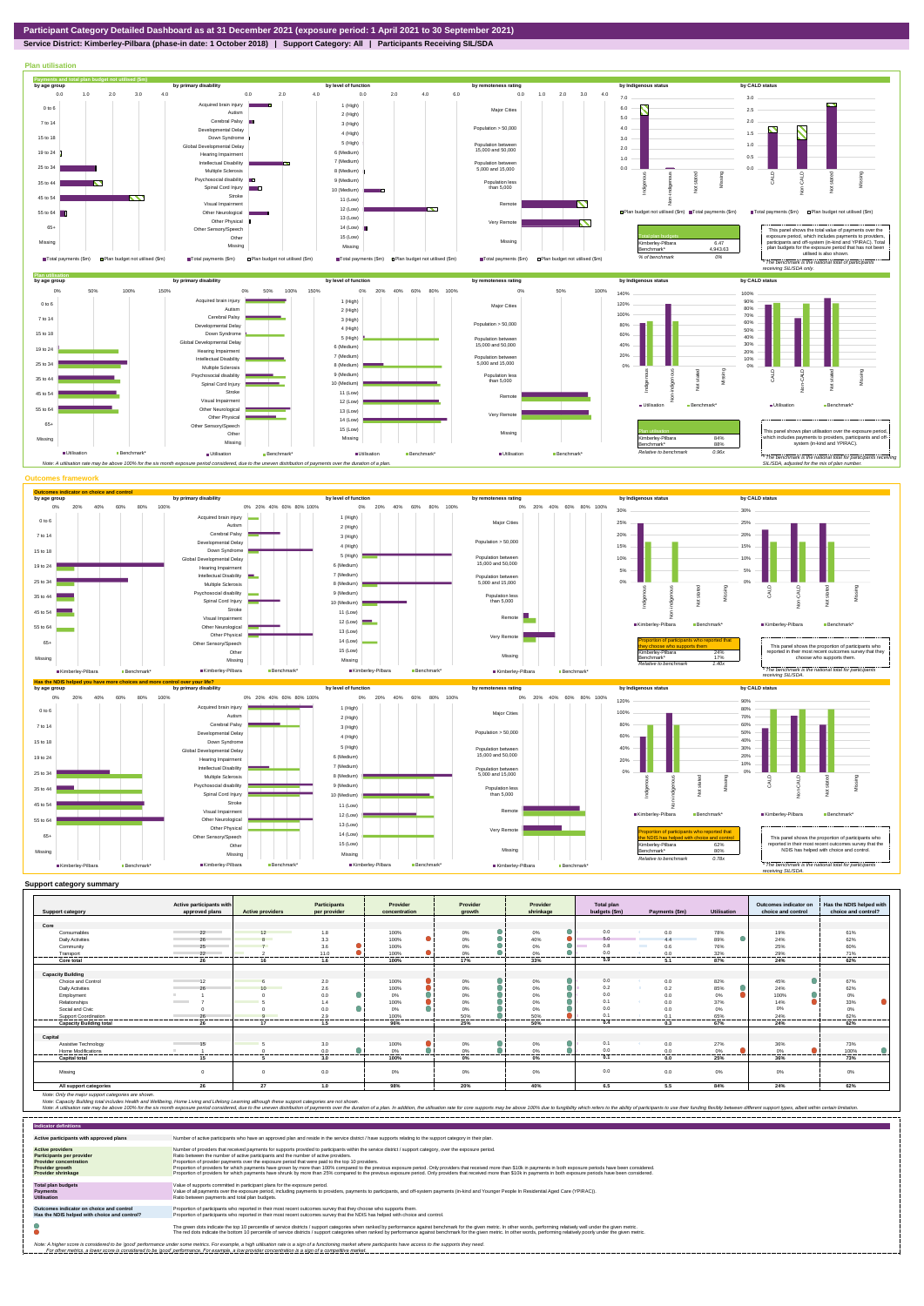

**Service District: Kimberley-Pilbara (phase-in date: 1 October 2018) | Support Category: All | Participants Receiving SIL/SDA**



| <b>Support category</b>        | Active participants with<br>approved plans | <b>Active providers</b> | <b>Participants</b><br>per provider | Provider<br>concentration | Provider<br>arowth | Provider<br>shrinkage | <b>Total plan</b><br>budgets (\$m) | Payments (\$m)       | <b>Utilisation</b> | Outcomes indicator on<br>choice and control | Has the NDIS helped with<br>choice and control? |
|--------------------------------|--------------------------------------------|-------------------------|-------------------------------------|---------------------------|--------------------|-----------------------|------------------------------------|----------------------|--------------------|---------------------------------------------|-------------------------------------------------|
|                                |                                            |                         |                                     |                           |                    |                       |                                    |                      |                    |                                             |                                                 |
| Core                           |                                            |                         |                                     |                           |                    |                       |                                    |                      |                    |                                             |                                                 |
| Consumables                    | 22                                         | 12                      | 1.8                                 | 100%                      | 0%                 | 0%                    | 0.0                                | 0.0                  | 78%                | 19%                                         | 61%                                             |
| <b>Daily Activities</b>        | 26                                         | 8                       | 3.3                                 | 100%                      | $0\%$              | 40%                   | 5.0                                |                      | 89%                | 24%                                         | 62%                                             |
| Community                      | 25                                         |                         | 3.6                                 | 100%                      | 0%                 | 0%                    | 0.8                                | <b>The Co</b><br>0.6 | 76%                | 25%                                         | 60%                                             |
| Transport                      | 22                                         |                         | 11.0                                | 100%                      | 0%                 | 0%                    | 0.0                                | 0.0                  | 32%                | 29%                                         | 71%                                             |
| Core total                     | ---------<br>26                            | 16                      | -------<br>1.6                      | <br>.<br>100%             | --------<br>17%    | .<br>33%              | <br>5.9                            | 5.1                  | -------<br>87%     | -------<br>24%                              | <br>62%                                         |
|                                |                                            |                         |                                     |                           |                    |                       |                                    |                      |                    |                                             |                                                 |
| <b>Capacity Building</b>       |                                            |                         |                                     |                           |                    |                       |                                    |                      |                    |                                             |                                                 |
| Choice and Control             | 12                                         |                         | 2.0                                 | 100%                      | $0\%$              | 0%                    | 0.0                                | 0.0                  | 82%                | 45%                                         | 67%                                             |
| <b>Daily Activities</b>        | 26                                         | 10                      | 2.6                                 | 100%                      | $0\%$              | 0%                    | 0.2                                | 0.2                  | 85%                | 24%                                         | 62%                                             |
| Employment                     |                                            |                         | 0.0                                 | 0%                        | $0\%$              | $0\%$                 | 0.0                                | 0.0                  | $0\%$              | 100%                                        | 0%                                              |
| Relationships                  | <b>Contract Contract</b>                   |                         |                                     | 100%                      | 0%                 | 0%                    | 0.1                                | 0.0                  | 37%                | 14%                                         | 33%                                             |
| Social and Civic               |                                            |                         | 0.0                                 | 0%                        | $0\%$              | 0%                    | 0.0                                | 0.0                  | 0%                 | 0%                                          | 0%                                              |
| <b>Support Coordination</b>    | 26                                         | $\Omega$                | 2.9                                 | 100%<br>--------          | 50%                | 50%                   | 0.1                                | 0.1                  | 65%                | 24%                                         | 62%                                             |
| <b>Capacity Building total</b> | .<br>26                                    | 17                      | --------<br>1.5                     | 96%                       | --------<br>25%    | .<br>50%              | -----<br>0.4                       | 0.3                  | ------<br>67%      | --------<br>24%                             | .<br>62%                                        |
|                                |                                            |                         |                                     |                           |                    |                       |                                    |                      |                    |                                             |                                                 |
| Capital                        |                                            |                         |                                     |                           |                    |                       |                                    |                      |                    |                                             |                                                 |
| Assistive Technology           | 15                                         |                         | 3.0                                 | 100%                      | 0%                 | 0%                    | 0.1                                | 0.0                  | 27%                | 36%                                         | 73%                                             |
| Home Modifications             |                                            |                         | 0.0<br>.                            | 0%                        | $0\%$<br>-------   | 0%<br>.               | 0.0<br>                            | 0.0<br>--------      | $0\%$<br>------    | 0%<br>-------                               | 100%                                            |
| <b>Capital total</b>           | 15                                         |                         | 3.0                                 | 100%                      | 0%                 | 0%                    | 0.1                                | 0.0                  | 25%                | 36%                                         | 73%                                             |
| Missing                        |                                            | $\Omega$                | 0.0                                 | $0\%$                     | $0\%$              | 0%                    | 0.0                                | 0.0                  | $0\%$              | 0%                                          | 0%                                              |
| All support categories         | 26                                         | 27                      | 1.0                                 | 98%                       | 20%                | 40%                   | 6.5                                | 5.5                  | 84%                | 24%                                         | 62%                                             |

Note: Only the major support categories are shown.<br>Note: Capacity Building total individual Wellbeing, Home Living and Lifelong Learning although these support categories are not shown.<br>Note: A utilisation rate may be abov

| <b>Indicator definitions</b>                                                                                                                        |                                                                                                                                                                                                                                                                                                                                                                                                                                                                                                                                                                                                                                                                                                                                                                                                                 |
|-----------------------------------------------------------------------------------------------------------------------------------------------------|-----------------------------------------------------------------------------------------------------------------------------------------------------------------------------------------------------------------------------------------------------------------------------------------------------------------------------------------------------------------------------------------------------------------------------------------------------------------------------------------------------------------------------------------------------------------------------------------------------------------------------------------------------------------------------------------------------------------------------------------------------------------------------------------------------------------|
| Active participants with approved plans                                                                                                             | Number of active participants who have an approved plan and reside in the service district / have supports relating to the support category in their plan.                                                                                                                                                                                                                                                                                                                                                                                                                                                                                                                                                                                                                                                      |
| <b>Active providers</b><br><b>Participants per provider</b><br><b>Provider concentration</b><br><b>Provider growth</b><br><b>Provider shrinkage</b> | Number of providers that received payments for supports provided to participants within the service district / support category, over the exposure period.<br>Ratio between the number of active participants and the number of active providers.<br>Proportion of provider payments over the exposure period that were paid to the top 10 providers.<br>Proportion of providers for which payments have grown by more than 100% compared to the previous exposure period. Only providers that received more than \$10k in payments in both exposure periods have been considered.<br>Proportion of providers for which payments have shrunk by more than 25% compared to the previous exposure period. Only providers that received more than \$10k in payments in both exposure periods have been considered. |
| <b>Total plan budgets</b><br><b>Payments</b><br><b>Utilisation</b>                                                                                  | Value of supports committed in participant plans for the exposure period.<br>Value of all payments over the exposure period, including payments to providers, payments to participants, and off-system payments (in-kind and Younger People In Residential Aged Care (YPIRAC)).<br>Ratio between payments and total plan budgets.                                                                                                                                                                                                                                                                                                                                                                                                                                                                               |
| Outcomes indicator on choice and control<br>Has the NDIS helped with choice and control?                                                            | Proportion of participants who reported in their most recent outcomes survey that they choose who supports them.<br>Proportion of participants who reported in their most recent outcomes survey that the NDIS has helped with choice and control.                                                                                                                                                                                                                                                                                                                                                                                                                                                                                                                                                              |
|                                                                                                                                                     | The green dots indicate the top 10 percentile of service districts / support categories when ranked by performance against benchmark for the given metric. In other words, performing relatively well under the given metric.<br>The red dots indicate the bottom 10 percentile of service districts / support categories when ranked by performance against benchmark for the given metric. In other words, performing relatively poorly under the given metri                                                                                                                                                                                                                                                                                                                                                 |
|                                                                                                                                                     | Note: A higher score is considered to be 'good' performance under some metrics. For example, a high utilisation rate is a sign of a functioning market where participants have access to the supports they need.<br>For other metrics, a lower score is considered to be 'good' performance. For example, a low provider concentration is a sign of a competitive market.                                                                                                                                                                                                                                                                                                                                                                                                                                       |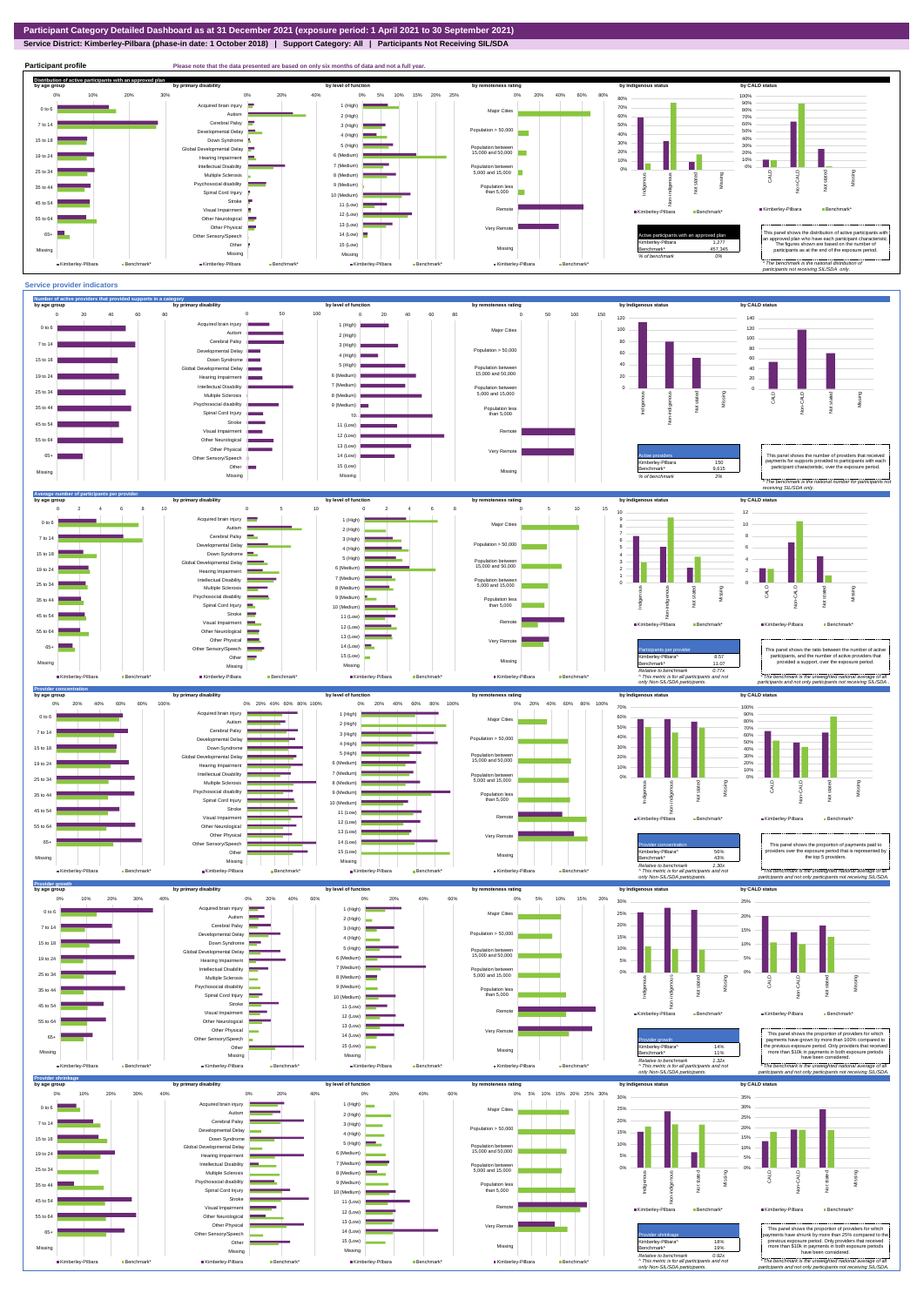**Service District: Kimberley-Pilbara (phase-in date: 1 October 2018) | Support Category: All | Participants Not Receiving SIL/SDA**